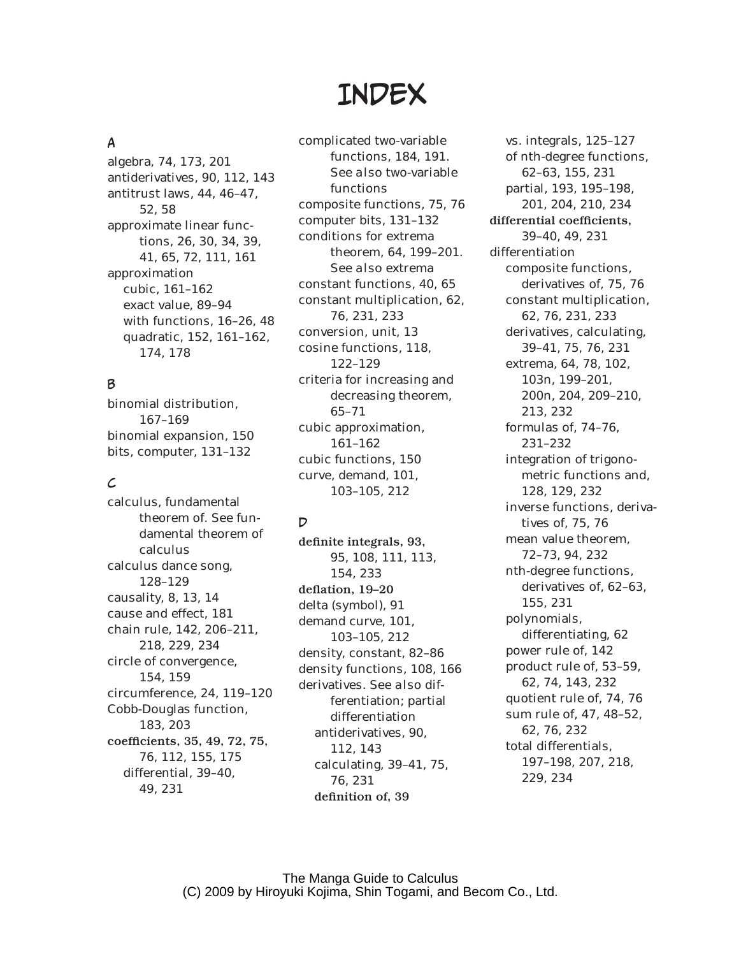# **INDEX**

## A

algebra, 74, 173, 201 antiderivatives, 90, 112, 143 antitrust laws, 44, 46–47, 52, 58 approximate linear functions, 26, 30, 34, 39, 41, 65, 72, 111, 161 approximation cubic, 161–162 exact value, 89–94 with functions, 16–26, 48 quadratic, 152, 161–162, 174, 178

## B

binomial distribution, 167–169 binomial expansion, 150 bits, computer, 131–132

## $\mathcal{L}$

calculus, fundamental theorem of. *See* fundamental theorem of calculus calculus dance song, 128–129 causality, 8, 13, 14 cause and effect, 181 chain rule, 142, 206–211, 218, 229, 234 circle of convergence, 154, 159 circumference, 24, 119–120 Cobb-Douglas function, 183, 203 coefficients, 35, 49, 72, 75, 76, 112, 155, 175 differential, 39–40, 49, 231

complicated two-variable functions, 184, 191. *See also* two-variable functions composite functions, 75, 76 computer bits, 131–132 conditions for extrema theorem, 64, 199–201. *See also* extrema constant functions, 40, 65 constant multiplication, 62, 76, 231, 233 conversion, unit, 13 cosine functions, 118, 122–129 criteria for increasing and decreasing theorem, 65–71 cubic approximation, 161–162 cubic functions, 150 curve, demand, 101, 103–105, 212

# $\overline{D}$

definite integrals, 93, 95, 108, 111, 113, 154, 233 deflation, 19-20 delta (symbol), 91 demand curve, 101, 103–105, 212 density, constant, 82–86 density functions, 108, 166 derivatives. *See also* differentiation; partial differentiation antiderivatives, 90, 112, 143 calculating, 39–41, 75, 76, 231 definition of, 39

vs. integrals, 125–127 of *n*th-degree functions, 62–63, 155, 231 partial, 193, 195–198, 201, 204, 210, 234 differential coefficients, 39–40, 49, 231 differentiation composite functions, derivatives of, 75, 76 constant multiplication, 62, 76, 231, 233 derivatives, calculating, 39–41, 75, 76, 231 extrema, 64, 78, 102, 103n, 199–201, 200n, 204, 209–210, 213, 232 formulas of, 74–76, 231–232 integration of trigonometric functions and, 128, 129, 232 inverse functions, derivatives of, 75, 76 mean value theorem, 72–73, 94, 232 *n*th-degree functions, derivatives of, 62–63, 155, 231 polynomials, differentiating, 62 power rule of, 142 product rule of, 53–59, 62, 74, 143, 232 quotient rule of, 74, 76 sum rule of, 47, 48–52, 62, 76, 232 total differentials, 197–198, 207, 218, 229, 234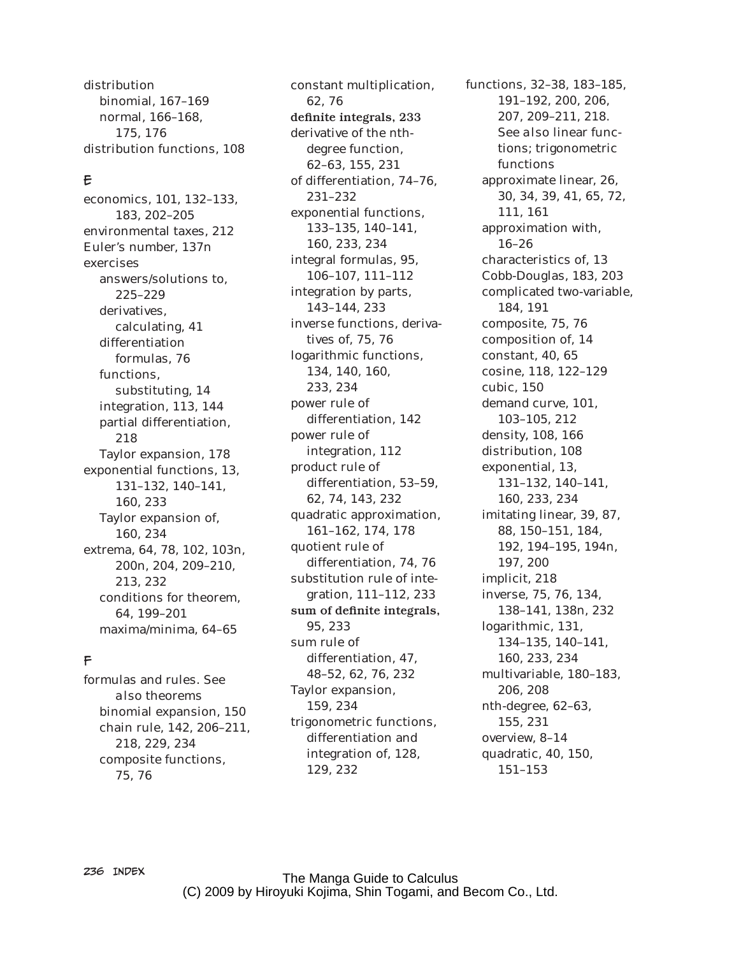distribution binomial, 167–169 normal, 166–168, 175, 176 distribution functions, 108

#### E

economics, 101, 132–133, 183, 202–205 environmental taxes, 212 Euler's number, 137n exercises answers/solutions to, 225–229 derivatives, calculating, 41 differentiation formulas, 76 functions, substituting, 14 integration, 113, 144 partial differentiation, 218 Taylor expansion, 178 exponential functions, 13, 131–132, 140–141, 160, 233 Taylor expansion of, 160, 234 extrema, 64, 78, 102, 103n, 200n, 204, 209–210, 213, 232 conditions for theorem, 64, 199–201 maxima/minima, 64–65

#### F

formulas and rules. *See also* theorems binomial expansion, 150 chain rule, 142, 206–211, 218, 229, 234 composite functions, 75, 76

constant multiplication, 62, 76 definite integrals, 233 derivative of the *n*thdegree function, 62–63, 155, 231 of differentiation, 74–76, 231–232 exponential functions, 133–135, 140–141, 160, 233, 234 integral formulas, 95, 106–107, 111–112 integration by parts, 143–144, 233 inverse functions, derivatives of, 75, 76 logarithmic functions, 134, 140, 160, 233, 234 power rule of differentiation, 142 power rule of integration, 112 product rule of differentiation, 53–59, 62, 74, 143, 232 quadratic approximation, 161–162, 174, 178 quotient rule of differentiation, 74, 76 substitution rule of integration, 111–112, 233 sum of definite integrals, 95, 233 sum rule of differentiation, 47, 48–52, 62, 76, 232 Taylor expansion, 159, 234 trigonometric functions, differentiation and integration of, 128, 129, 232

functions, 32–38, 183–185, 191–192, 200, 206, 207, 209–211, 218. *See also* linear functions; trigonometric functions approximate linear, 26, 30, 34, 39, 41, 65, 72, 111, 161 approximation with, 16–26 characteristics of, 13 Cobb-Douglas, 183, 203 complicated two-variable, 184, 191 composite, 75, 76 composition of, 14 constant, 40, 65 cosine, 118, 122–129 cubic, 150 demand curve, 101, 103–105, 212 density, 108, 166 distribution, 108 exponential, 13, 131–132, 140–141, 160, 233, 234 imitating linear, 39, 87, 88, 150–151, 184, 192, 194–195, 194n, 197, 200 implicit, 218 inverse, 75, 76, 134, 138–141, 138n, 232 logarithmic, 131, 134–135, 140–141, 160, 233, 234 multivariable, 180–183, 206, 208 *n*th-degree, 62–63, 155, 231 overview, 8–14 quadratic, 40, 150, 151–153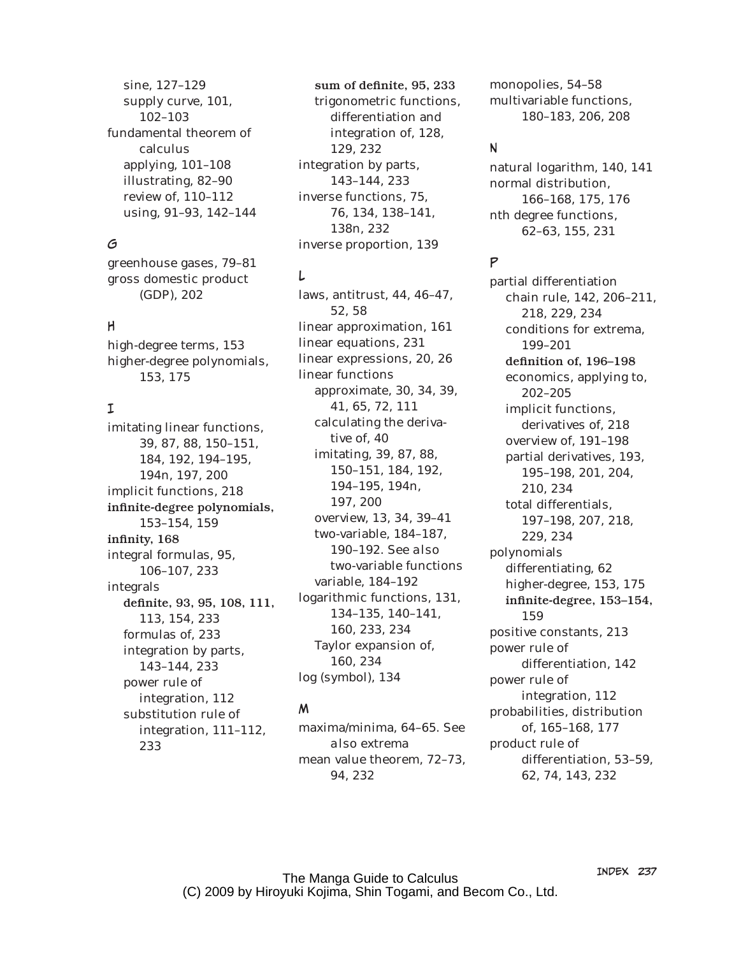sine, 127–129 supply curve, 101, 102–103 fundamental theorem of calculus applying, 101–108 illustrating, 82–90 review of, 110–112 using, 91–93, 142–144

#### G

greenhouse gases, 79–81 gross domestic product (GDP), 202

#### H

high-degree terms, 153 higher-degree polynomials, 153, 175

#### I

imitating linear functions, 39, 87, 88, 150–151, 184, 192, 194–195, 194n, 197, 200 implicit functions, 218 infinite-degree polynomials, 153–154, 159 infinity, 168 integral formulas, 95, 106–107, 233 integrals definite, 93, 95, 108, 111, 113, 154, 233 formulas of, 233 integration by parts, 143–144, 233 power rule of integration, 112 substitution rule of integration, 111–112, 233

sum of definite, 95, 233 trigonometric functions, differentiation and integration of, 128, 129, 232 integration by parts, 143–144, 233 inverse functions, 75, 76, 134, 138–141, 138n, 232 inverse proportion, 139

## L

laws, antitrust, 44, 46–47, 52, 58 linear approximation, 161 linear equations, 231 linear expressions, 20, 26 linear functions approximate, 30, 34, 39, 41, 65, 72, 111 calculating the derivative of, 40 imitating, 39, 87, 88, 150–151, 184, 192, 194–195, 194n, 197, 200 overview, 13, 34, 39–41 two-variable, 184–187, 190–192. *See also* two-variable functions variable, 184–192 logarithmic functions, 131, 134–135, 140–141, 160, 233, 234 Taylor expansion of, 160, 234 log (symbol), 134

#### M

maxima/minima, 64–65. *See also* extrema mean value theorem, 72–73, 94, 232

monopolies, 54–58 multivariable functions, 180–183, 206, 208

#### N

natural logarithm, 140, 141 normal distribution, 166–168, 175, 176 *n*th degree functions, 62–63, 155, 231

#### P

partial differentiation chain rule, 142, 206–211, 218, 229, 234 conditions for extrema, 199–201 definition of, 196-198 economics, applying to, 202–205 implicit functions, derivatives of, 218 overview of, 191–198 partial derivatives, 193, 195–198, 201, 204, 210, 234 total differentials, 197–198, 207, 218, 229, 234 polynomials differentiating, 62 higher-degree, 153, 175 infinite-degree, 153-154, 159 positive constants, 213 power rule of differentiation, 142 power rule of integration, 112 probabilities, distribution of, 165–168, 177 product rule of differentiation, 53–59, 62, 74, 143, 232